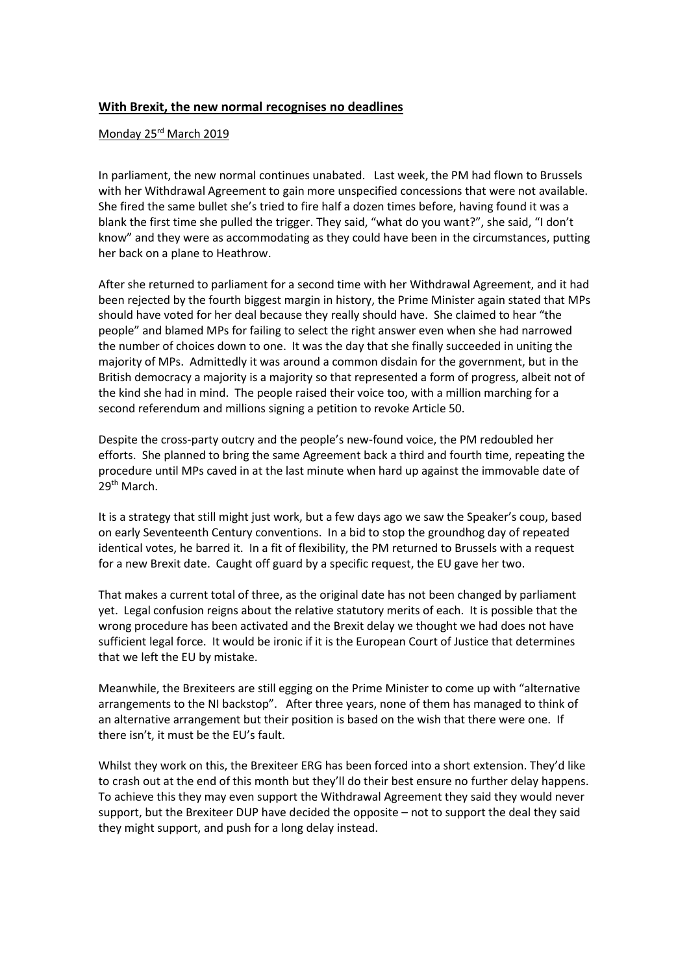## **With Brexit, the new normal recognises no deadlines**

## Monday 25<sup>rd</sup> March 2019

In parliament, the new normal continues unabated. Last week, the PM had flown to Brussels with her Withdrawal Agreement to gain more unspecified concessions that were not available. She fired the same bullet she's tried to fire half a dozen times before, having found it was a blank the first time she pulled the trigger. They said, "what do you want?", she said, "I don't know" and they were as accommodating as they could have been in the circumstances, putting her back on a plane to Heathrow.

After she returned to parliament for a second time with her Withdrawal Agreement, and it had been rejected by the fourth biggest margin in history, the Prime Minister again stated that MPs should have voted for her deal because they really should have. She claimed to hear "the people" and blamed MPs for failing to select the right answer even when she had narrowed the number of choices down to one. It was the day that she finally succeeded in uniting the majority of MPs. Admittedly it was around a common disdain for the government, but in the British democracy a majority is a majority so that represented a form of progress, albeit not of the kind she had in mind. The people raised their voice too, with a million marching for a second referendum and millions signing a petition to revoke Article 50.

Despite the cross-party outcry and the people's new-found voice, the PM redoubled her efforts. She planned to bring the same Agreement back a third and fourth time, repeating the procedure until MPs caved in at the last minute when hard up against the immovable date of 29<sup>th</sup> March.

It is a strategy that still might just work, but a few days ago we saw the Speaker's coup, based on early Seventeenth Century conventions. In a bid to stop the groundhog day of repeated identical votes, he barred it. In a fit of flexibility, the PM returned to Brussels with a request for a new Brexit date. Caught off guard by a specific request, the EU gave her two.

That makes a current total of three, as the original date has not been changed by parliament yet. Legal confusion reigns about the relative statutory merits of each. It is possible that the wrong procedure has been activated and the Brexit delay we thought we had does not have sufficient legal force. It would be ironic if it is the European Court of Justice that determines that we left the EU by mistake.

Meanwhile, the Brexiteers are still egging on the Prime Minister to come up with "alternative arrangements to the NI backstop". After three years, none of them has managed to think of an alternative arrangement but their position is based on the wish that there were one. If there isn't, it must be the EU's fault.

Whilst they work on this, the Brexiteer ERG has been forced into a short extension. They'd like to crash out at the end of this month but they'll do their best ensure no further delay happens. To achieve this they may even support the Withdrawal Agreement they said they would never support, but the Brexiteer DUP have decided the opposite – not to support the deal they said they might support, and push for a long delay instead.